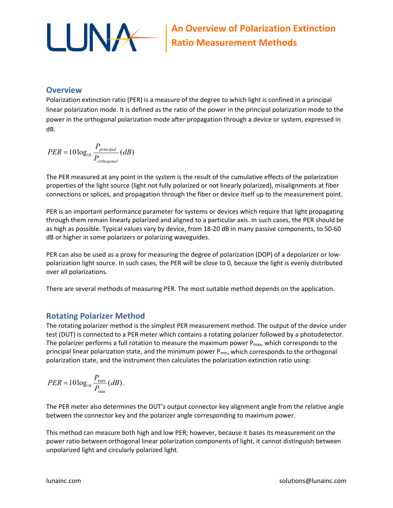

### **Overview**

Polarization extinction ratio (PER) is a measure of the degree to which light is confined in a principal linear polarization mode. It is defined as the ratio of the power in the principal polarization mode to the power in the orthogonal polarization mode after propagation through a device or system, expressed in dB.

$$
PER = 10\log_{10}\frac{P_{principal}}{P_{orthogonal}}(dB)
$$

The PER measured at any point in the system is the result of the cumulative effects of the polarization properties of the light source (light not fully polarized or not linearly polarized), misalignments at fiber connections or splices, and propagation through the fiber or device itself up to the measurement point.

PER is an important performance parameter for systems or devices which require that light propagating through them remain linearly polarized and aligned to a particular axis. In such cases, the PER should be as high as possible. Typical values vary by device, from 18-20 dB in many passive components, to 50-60 dB or higher in some polarizers or polarizing waveguides.

PER can also be used as a proxy for measuring the degree of polarization (DOP) of a depolarizer or lowpolarization light source. In such cases, the PER will be close to 0, because the light is evenly distributed over all polarizations.

There are several methods of measuring PER. The most suitable method depends on the application.

## **Rotating Polarizer Method**

The rotating polarizer method is the simplest PER measurement method. The output of the device under test (DUT) is connected to a PER meter which contains a rotating polarizer followed by a photodetector. The polarizer performs a full rotation to measure the maximum power  $P_{max}$ , which corresponds to the principal linear polarization state, and the minimum power  $P_{min}$ , which corresponds to the orthogonal polarization state, and the instrument then calculates the polarization extinction ratio using:

$$
PER = 10\log_{10}\frac{P_{\text{max}}}{P_{\text{min}}}(dB).
$$

The PER meter also determines the DUT's output connector key alignment angle from the relative angle between the connector key and the polarizer angle corresponding to maximum power.

This method can measure both high and low PER; however, because it bases its measurement on the power ratio between orthogonal linear polarization components of light, it cannot distinguish between unpolarized light and circularly polarized light.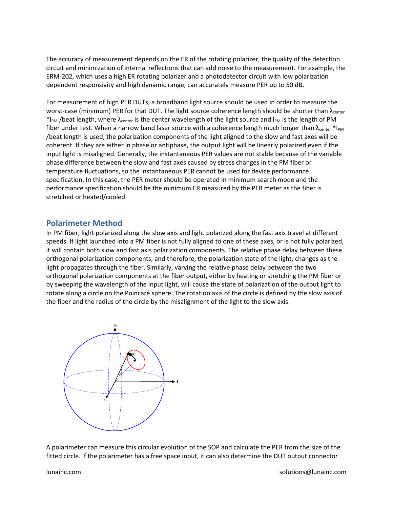The accuracy of measurement depends on the ER of the rotating polarizer, the quality of the detection circuit and minimization of internal reflections that can add noise to the measurement. For example, the ERM-202, which uses a high ER rotating polarizer and a photodetector circuit with low polarization dependent responsivity and high dynamic range, can accurately measure PER up to 50 dB.

For measurement of high PER DUTs, a broadband light source should be used in order to measure the worst-case (minimum) PER for that DUT. The light source coherence length should be shorter than λ<sub>center</sub> \*l<sub>PM</sub> /beat length, where  $\lambda_{\text{center}}$  is the center wavelength of the light source and l<sub>PM</sub> is the length of PM fiber under test. When a narrow band laser source with a coherence length much longer than  $\lambda_{\text{center}} * I_{PM}$ /beat length is used, the polarization components of the light aligned to the slow and fast axes will be coherent. If they are either in phase or antiphase, the output light will be linearly polarized even if the input light is misaligned. Generally, the instantaneous PER values are not stable because of the variable phase difference between the slow and fast axes caused by stress changes in the PM fiber or temperature fluctuations, so the instantaneous PER cannot be used for device performance specification. In this case, the PER meter should be operated in minimum search mode and the performance specification should be the minimum ER measured by the PER meter as the fiber is stretched or heated/cooled.

#### **Polarimeter Method**

In PM fiber, light polarized along the slow axis and light polarized along the fast axis travel at different speeds. If light launched into a PM fiber is not fully aligned to one of these axes, or is not fully polarized, it will contain both slow and fast axis polarization components. The relative phase delay between these orthogonal polarization components, and therefore, the polarization state of the light, changes as the light propagates through the fiber. Similarly, varying the relative phase delay between the two orthogonal polarization components at the fiber output, either by heating or stretching the PM fiber or by sweeping the wavelength of the input light, will cause the state of polarization of the output light to rotate along a circle on the Poincaré sphere. The rotation axis of the circle is defined by the slow axis of the fiber and the radius of the circle by the misalignment of the light to the slow axis.



A polarimeter can measure this circular evolution of the SOP and calculate the PER from the size of the fitted circle. If the polarimeter has a free space input, it can also determine the DUT output connector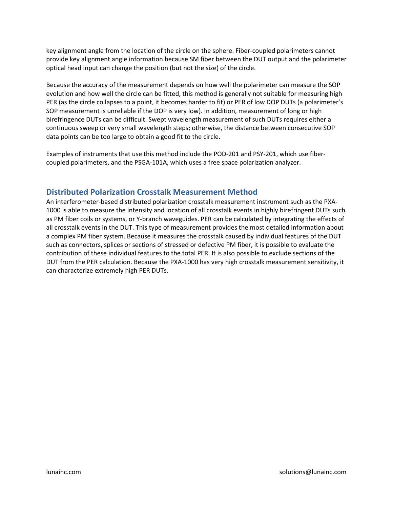key alignment angle from the location of the circle on the sphere. Fiber-coupled polarimeters cannot provide key alignment angle information because SM fiber between the DUT output and the polarimeter optical head input can change the position (but not the size) of the circle.

Because the accuracy of the measurement depends on how well the polarimeter can measure the SOP evolution and how well the circle can be fitted, this method is generally not suitable for measuring high PER (as the circle collapses to a point, it becomes harder to fit) or PER of low DOP DUTs (a polarimeter's SOP measurement is unreliable if the DOP is very low). In addition, measurement of long or high birefringence DUTs can be difficult. Swept wavelength measurement of such DUTs requires either a continuous sweep or very small wavelength steps; otherwise, the distance between consecutive SOP data points can be too large to obtain a good fit to the circle.

Examples of instruments that use this method include the POD-201 and PSY-201, which use fibercoupled polarimeters, and the PSGA-101A, which uses a free space polarization analyzer.

# **Distributed Polarization Crosstalk Measurement Method**

An interferometer-based distributed polarization crosstalk measurement instrument such as the PXA-1000 is able to measure the intensity and location of all crosstalk events in highly birefringent DUTs such as PM fiber coils or systems, or Y-branch waveguides. PER can be calculated by integrating the effects of all crosstalk events in the DUT. This type of measurement provides the most detailed information about a complex PM fiber system. Because it measures the crosstalk caused by individual features of the DUT such as connectors, splices or sections of stressed or defective PM fiber, it is possible to evaluate the contribution of these individual features to the total PER. It is also possible to exclude sections of the DUT from the PER calculation. Because the PXA-1000 has very high crosstalk measurement sensitivity, it can characterize extremely high PER DUTs.